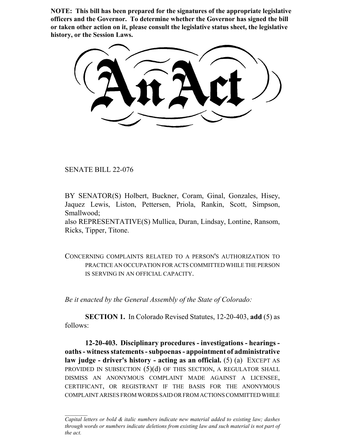**NOTE: This bill has been prepared for the signatures of the appropriate legislative officers and the Governor. To determine whether the Governor has signed the bill or taken other action on it, please consult the legislative status sheet, the legislative history, or the Session Laws.**

SENATE BILL 22-076

BY SENATOR(S) Holbert, Buckner, Coram, Ginal, Gonzales, Hisey, Jaquez Lewis, Liston, Pettersen, Priola, Rankin, Scott, Simpson, Smallwood;

also REPRESENTATIVE(S) Mullica, Duran, Lindsay, Lontine, Ransom, Ricks, Tipper, Titone.

CONCERNING COMPLAINTS RELATED TO A PERSON'S AUTHORIZATION TO PRACTICE AN OCCUPATION FOR ACTS COMMITTED WHILE THE PERSON IS SERVING IN AN OFFICIAL CAPACITY.

*Be it enacted by the General Assembly of the State of Colorado:*

**SECTION 1.** In Colorado Revised Statutes, 12-20-403, **add** (5) as follows:

**12-20-403. Disciplinary procedures - investigations - hearings oaths - witness statements - subpoenas - appointment of administrative law judge - driver's history - acting as an official.** (5) (a) EXCEPT AS PROVIDED IN SUBSECTION  $(5)(d)$  OF THIS SECTION, A REGULATOR SHALL DISMISS AN ANONYMOUS COMPLAINT MADE AGAINST A LICENSEE, CERTIFICANT, OR REGISTRANT IF THE BASIS FOR THE ANONYMOUS COMPLAINT ARISES FROM WORDS SAID OR FROM ACTIONS COMMITTED WHILE

*Capital letters or bold & italic numbers indicate new material added to existing law; dashes through words or numbers indicate deletions from existing law and such material is not part of the act.*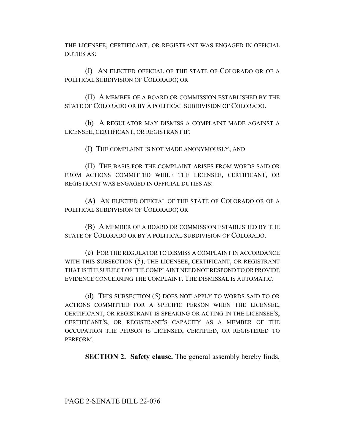THE LICENSEE, CERTIFICANT, OR REGISTRANT WAS ENGAGED IN OFFICIAL DUTIES AS:

(I) AN ELECTED OFFICIAL OF THE STATE OF COLORADO OR OF A POLITICAL SUBDIVISION OF COLORADO; OR

(II) A MEMBER OF A BOARD OR COMMISSION ESTABLISHED BY THE STATE OF COLORADO OR BY A POLITICAL SUBDIVISION OF COLORADO.

(b) A REGULATOR MAY DISMISS A COMPLAINT MADE AGAINST A LICENSEE, CERTIFICANT, OR REGISTRANT IF:

(I) THE COMPLAINT IS NOT MADE ANONYMOUSLY; AND

(II) THE BASIS FOR THE COMPLAINT ARISES FROM WORDS SAID OR FROM ACTIONS COMMITTED WHILE THE LICENSEE, CERTIFICANT, OR REGISTRANT WAS ENGAGED IN OFFICIAL DUTIES AS:

(A) AN ELECTED OFFICIAL OF THE STATE OF COLORADO OR OF A POLITICAL SUBDIVISION OF COLORADO; OR

(B) A MEMBER OF A BOARD OR COMMISSION ESTABLISHED BY THE STATE OF COLORADO OR BY A POLITICAL SUBDIVISION OF COLORADO.

(c) FOR THE REGULATOR TO DISMISS A COMPLAINT IN ACCORDANCE WITH THIS SUBSECTION (5), THE LICENSEE, CERTIFICANT, OR REGISTRANT THAT IS THE SUBJECT OF THE COMPLAINT NEED NOT RESPOND TO OR PROVIDE EVIDENCE CONCERNING THE COMPLAINT. THE DISMISSAL IS AUTOMATIC.

(d) THIS SUBSECTION (5) DOES NOT APPLY TO WORDS SAID TO OR ACTIONS COMMITTED FOR A SPECIFIC PERSON WHEN THE LICENSEE, CERTIFICANT, OR REGISTRANT IS SPEAKING OR ACTING IN THE LICENSEE'S, CERTIFICANT'S, OR REGISTRANT'S CAPACITY AS A MEMBER OF THE OCCUPATION THE PERSON IS LICENSED, CERTIFIED, OR REGISTERED TO PERFORM.

**SECTION 2. Safety clause.** The general assembly hereby finds,